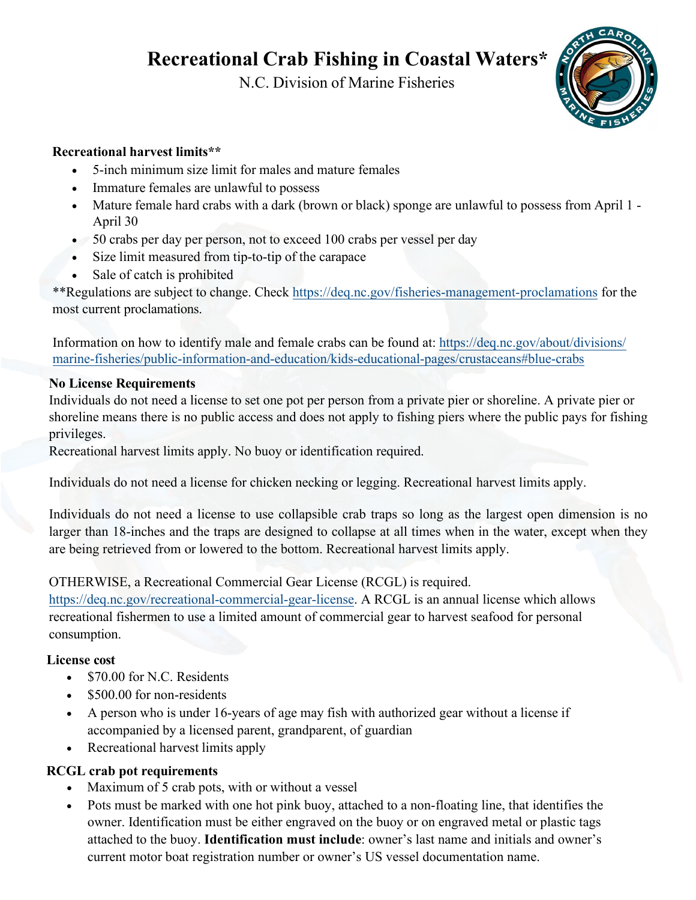**Recreational Crab Fishing in Coastal Waters\*** 

N.C. Division of Marine Fisheries



## **Recreational harvest limits\*\***

- 5-inch minimum size limit for males and mature females
- Immature females are unlawful to possess
- Mature female hard crabs with a dark (brown or black) sponge are unlawful to possess from April 1 April 30
- 50 crabs per day per person, not to exceed 100 crabs per vessel per day
- Size limit measured from tip-to-tip of the carapace
- Sale of catch is prohibited

\*\*Regulations are subject to change. Check <https://deq.nc.gov/fisheries-management-proclamations> for the most current proclamations.

Information on how to identify male and female crabs can be found at: [https://deq.nc.gov/about/divisions/](https://deq.nc.gov/about/divisions/marine-fisheries/public-information-and-education/kids-educational-pages/crustaceans#blue-crabs) [marine-fisheries/public-information-and-education/kids-educational-pages/crustaceans#blue-crabs](https://deq.nc.gov/about/divisions/marine-fisheries/public-information-and-education/kids-educational-pages/crustaceans#blue-crabs)

#### **No License Requirements**

Individuals do not need a license to set one pot per person from a private pier or shoreline. A private pier or shoreline means there is no public access and does not apply to fishing piers where the public pays for fishing privileges.

Recreational harvest limits apply. No buoy or identification required.

Individuals do not need a license for chicken necking or legging. Recreational harvest limits apply.

Individuals do not need a license to use collapsible crab traps so long as the largest open dimension is no larger than 18-inches and the traps are designed to collapse at all times when in the water, except when they are being retrieved from or lowered to the bottom. Recreational harvest limits apply.

#### OTHERWISE, a Recreational Commercial Gear License (RCGL) is required.

[https://deq.nc.gov/recreational-commercial-gear-license.](https://deq.nc.gov/recreational-commercial-gear-license) A RCGL is an annual license which allows recreational fishermen to use a limited amount of commercial gear to harvest seafood for personal consumption.

#### **License cost**

- \$70.00 for N.C. Residents
- \$500.00 for non-residents
- A person who is under 16-years of age may fish with authorized gear without a license if accompanied by a licensed parent, grandparent, of guardian
- Recreational harvest limits apply

# **RCGL crab pot requirements**

- Maximum of 5 crab pots, with or without a vessel
- Pots must be marked with one hot pink buoy, attached to a non-floating line, that identifies the owner. Identification must be either engraved on the buoy or on engraved metal or plastic tags attached to the buoy. **Identification must include**: owner's last name and initials and owner's current motor boat registration number or owner's US vessel documentation name.